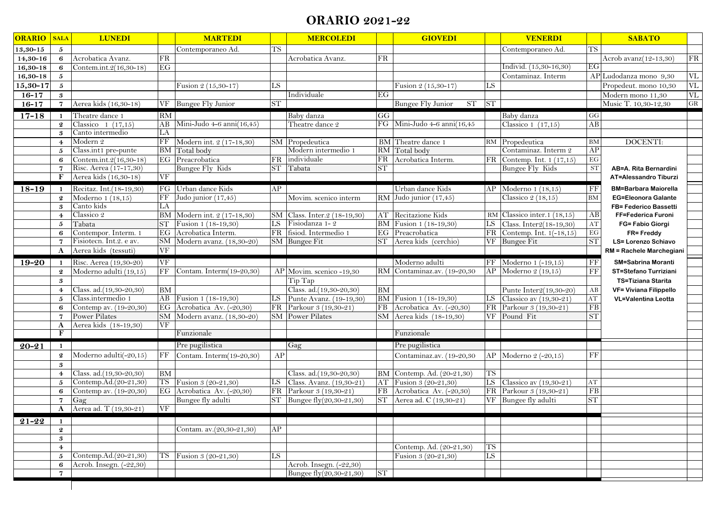## **ORARIO 2021-22**

| <b>ORARIO</b>      | <b>SALA</b>                | <b>LUNEDI</b>           |                     | <b>MARTEDI</b>            |           | <b>MERCOLEDI</b>               |           | <b>GIOVEDI</b>                 |           | <b>VENERDI</b>                            |                        | <b>SABATO</b>                                      |
|--------------------|----------------------------|-------------------------|---------------------|---------------------------|-----------|--------------------------------|-----------|--------------------------------|-----------|-------------------------------------------|------------------------|----------------------------------------------------|
| $13,30-15$         | 5                          |                         |                     | Contemporaneo Ad.         | <b>TS</b> |                                |           |                                |           | Contemporaneo Ad.                         | <b>TS</b>              |                                                    |
| 14,30-16           | 6                          | Acrobatica Avanz.       | FR                  |                           |           | Acrobatica Avanz.              | FR        |                                |           |                                           |                        | FR<br>Acrob avanz(12-13,30)                        |
| $16,30-18$         | 6                          | Contem.int.2(16,30-18)  | EG                  |                           |           |                                |           |                                |           | Individ. (15,30-16,30)                    | EG                     |                                                    |
| $16,30-18$         | $\mathbf{5}$               |                         |                     |                           |           |                                |           |                                |           | Contaminaz. Interm                        |                        | $\ensuremath{\text{VL}}$<br>AP Ludodanza mono 9,30 |
| 15,30-17           | $\mathbf{5}$               |                         |                     | Fusion $2(15,30-17)$      | LS        |                                |           | Fusion 2 (15,30-17)            | LS        |                                           |                        | $\ensuremath{\text{VL}}$<br>Propedeut. mono 10,30  |
| $16 - 17$          | 3                          |                         |                     |                           |           | Individuale                    | EG        |                                |           |                                           |                        | VL<br>Modern mono 11,30                            |
| $16 - 17$          | $\mathbf 7$                | Aerea kids (16,30-18)   |                     | VF Bungee Fly Junior      | <b>ST</b> |                                |           | <b>Bungee Fly Junior</b><br>ST | <b>ST</b> |                                           |                        | ${\rm GR}$<br>Music T. 10,30-12,30                 |
| $17 - 18$          | $\mathbf{1}$               | Theatre dance 1         | RM                  |                           |           | Baby danza                     | GG        |                                |           | Baby danza                                | $\mathbf{G}\mathbf{G}$ |                                                    |
|                    | $\boldsymbol{2}$           | Classico $1(17,15)$     | AB                  | Mini-Judo 4-6 anni(16,45) |           | Theatre dance 2                | FG        | Mini-Judo 4-6 anni(16,45       |           | Classico 1 $(17,15)$                      | AB                     |                                                    |
|                    | 3                          | Canto intermedio        | LA                  |                           |           |                                |           |                                |           |                                           |                        |                                                    |
|                    | $\overline{4}$             | Modern 2                | FF                  | Modern int. 2 (17-18,30)  |           | SM Propedeutica                |           | BM Theatre dance 1             |           | RM Propedeutica                           | <b>BM</b>              | DOCENTI:                                           |
|                    | 5                          | Class.int1 pre-punte    | <b>BM</b>           | Total body                |           | Modern intermedio 1            |           | RM Total body                  |           | Contaminaz. Interm 2                      | AP                     |                                                    |
|                    | 6                          | Contem.int.2(16,30-18)  | EG                  | Preacrobatica             | FR        | individuale                    | FR        | Acrobatica Interm.             |           | $FR$ Contemp. Int. 1 (17,15)              | $\operatorname{EG}$    |                                                    |
|                    | $\mathbf 7$                | Risc. Aerea (17-17,30)  |                     | <b>Bungee Fly Kids</b>    | <b>ST</b> | Tabata                         | <b>ST</b> |                                |           | Bungee Fly Kids                           | <b>ST</b>              | AB=A. Rita Bernardini                              |
|                    | F                          | Aerea kids (16,30-18)   | VF                  |                           |           |                                |           |                                |           |                                           |                        | <b>AT=Alessandro Tiburzi</b>                       |
| $18 - 19$          | 1                          | Recitaz. Int.(18-19,30) |                     | FG Urban dance Kids       | AP        |                                |           | Urban dance Kids               |           | $AP$ Moderno $1(18,15)$                   | FF                     | <b>BM=Barbara Maiorella</b>                        |
|                    | $\boldsymbol{2}$           | Moderno 1 (18,15)       | $\rm FF$            | Judo junior (17,45)       |           | Movim. scenico interm          |           | RM Judo junior (17,45)         |           | Classico $2(18,15)$                       | <b>BM</b>              | <b>EG=Eleonora Galante</b>                         |
|                    | 3                          | Canto kids              | LA                  |                           |           |                                |           |                                |           |                                           |                        | FB= Federico Bassetti                              |
|                    | $\overline{4}$             | Classico 2              | <b>BM</b>           | Modern int. 2 (17-18,30)  |           | SM Class. Inter. 2 (18-19,30)  |           | <b>AT</b> Recitazione Kids     |           | RM Classico inter.1 $(18,15)$             | AB                     | FF=Federica Furoni                                 |
|                    | 5                          | Tabata                  | <b>ST</b>           | Fusion 1 (18-19,30)       | LS        | Fisiodanza 1-2                 |           | BM Fusion 1 (18-19,30)         | LS        | Class. Inter2(18-19,30)                   | AT                     | FG= Fabio Giorgi                                   |
|                    | 6                          | Contempor. Interm. 1    | EG                  | Acrobatica Interm.        | FR        | fisiod. Intermedio 1           |           | EG Preacrobatica               | FR        | Contemp. Int. $1(-18,15)$                 | $\operatorname{EG}$    | FR= Freddy                                         |
|                    | $\overline{7}$             | Fisiotecn. Int.2. e av. | SМ                  | Modern avanz. (18,30-20)  |           | SM Bungee Fit                  | ST.       | Aerea kids (cerchio)           |           | VF Bungee Fit                             | ST                     | <b>LS= Lorenzo Schiavo</b>                         |
|                    | $\mathbf{A}$               | Aerea kids (tessuti)    | $\overline{\rm VF}$ |                           |           |                                |           |                                |           |                                           |                        | <b>RM = Rachele Marchegiani</b>                    |
| $19 - 20$          | $\mathbf{1}$               | Risc. Aerea (19,30-20)  | <b>VF</b>           |                           |           |                                |           | Moderno adulti                 |           | $\overline{\text{FF}}$ Moderno 1 (-19,15) | FF                     | <b>SM=Sabrina Moranti</b>                          |
|                    | $\boldsymbol{2}$           | Moderno adulti (19,15)  | FF                  | Contam. Interm(19-20,30)  |           | AP Movim. scenico -19,30       |           | RM Contaminaz.av. (19-20,30    | AP        | Moderno 2 (19,15)                         | FF                     | <b>ST=Stefano Turriziani</b>                       |
|                    | $\boldsymbol{\mathcal{S}}$ |                         |                     |                           |           | Tip Tap                        |           |                                |           |                                           |                        | TS=Tiziana Starita                                 |
|                    | $\overline{4}$             | Class. ad.(19,30-20,30) | BM                  |                           |           | Class. ad.(19,30-20,30)        | <b>BM</b> |                                |           | Punte Inter2(19,30-20)                    | AB                     | <b>VF= Viviana Filippello</b>                      |
|                    | 5                          | Class.intermedio 1      | AB                  | Fusion 1 (18-19,30)       | LS        | Punte Avanz. (19-19,30)        |           | BM Fusion 1 (18-19,30)         | LS        | Classico av (19,30-21)                    | $\mathbf{A}\mathbf{T}$ | <b>VL=Valentina Leotta</b>                         |
|                    | 6                          | Contemp av. (19-20,30)  | EG                  | Acrobatica Av. (-20,30)   | FR        | Parkour 3 (19,30-21)           | FB        | Acrobatica Av. (-20,30)        | FR        | Parkour 3 (19,30-21)                      | FB                     |                                                    |
|                    | $\overline{7}$             | Power Pilates           | <b>SM</b>           | Modern avanz. (18,30-20)  |           | <b>SM</b> Power Pilates        | <b>SM</b> | Aerea kids (18-19,30)          | <b>VF</b> | Pound Fit                                 | <b>ST</b>              |                                                    |
|                    | $\mathbf{A}$               | Aerea kids (18-19,30)   | <b>VF</b>           |                           |           |                                |           |                                |           |                                           |                        |                                                    |
|                    | F                          |                         |                     | Funzionale                |           |                                |           | Funzionale                     |           |                                           |                        |                                                    |
| $20 - 21$          | $\mathbf{1}$               |                         |                     | Pre pugilistica           |           | Gag                            |           | Pre pugilistica                |           |                                           |                        |                                                    |
|                    | $\boldsymbol{2}$           | Moderno adulti(-20,15)  | $\rm FF$            | Contam. Interm(19-20,30)  | AP        |                                |           | Contaminaz.av. (19-20,30       | AP        | Moderno 2 (-20,15)                        | FF                     |                                                    |
|                    | $\boldsymbol{\mathcal{S}}$ |                         |                     |                           |           |                                |           |                                |           |                                           |                        |                                                    |
|                    | $\overline{4}$             | Class. ad.(19,30-20,30) | <b>BM</b>           |                           |           | Class. ad.(19,30-20,30)        |           | BM Contemp. Ad. (20-21,30)     | <b>TS</b> |                                           |                        |                                                    |
|                    | 5                          | Contemp.Ad.(20-21,30)   | TS                  | Fusion 3 (20-21,30)       | LS        | Class. Avanz. (19,30-21)       |           | AT Fusion 3 (20-21,30)         | LS        | Classico av $(19,30-21)$                  | $\mathbf{A}\mathbf{T}$ |                                                    |
|                    | 6                          | Contemp av. (19-20,30)  | EG                  | Acrobatica Av. (-20,30)   | FR        | Parkour 3 (19,30-21)           | FB        | Acrobatica Av. (-20,30)        | FR        | Parkour 3 (19,30-21)                      | FB                     |                                                    |
|                    | $\overline{7}$             | Gag                     |                     | Bungee fly adulti         | <b>ST</b> | Bungee fly $(20, 30 - 21, 30)$ | <b>ST</b> | Aerea ad. C (19,30-21)         |           | VF Bungee fly adulti                      | <b>ST</b>              |                                                    |
|                    | $\mathbf{A}$               | Aerea ad. T (19,30-21)  | VF                  |                           |           |                                |           |                                |           |                                           |                        |                                                    |
| $2\overline{1-22}$ | $\mathbf{1}$               |                         |                     |                           |           |                                |           |                                |           |                                           |                        |                                                    |
|                    | $\boldsymbol{2}$           |                         |                     | Contam. av.(20,30-21,30)  | AP        |                                |           |                                |           |                                           |                        |                                                    |
|                    | $\boldsymbol{3}$           |                         |                     |                           |           |                                |           |                                |           |                                           |                        |                                                    |
|                    | $\overline{4}$             |                         |                     |                           |           |                                |           | Contemp. Ad. (20-21,30)        | <b>TS</b> |                                           |                        |                                                    |
|                    | 5                          | Contemp.Ad.(20-21,30)   | TS                  | Fusion 3 (20-21,30)       | LS        |                                |           | Fusion 3 (20-21,30)            | LS        |                                           |                        |                                                    |
|                    | 6                          | Acrob. Insegn. (-22,30) |                     |                           |           | Acrob. Insegn. (-22,30)        |           |                                |           |                                           |                        |                                                    |
|                    | $\overline{7}$             |                         |                     |                           |           | Bungee fly(20,30-21,30)        | <b>ST</b> |                                |           |                                           |                        |                                                    |
|                    |                            |                         |                     |                           |           |                                |           |                                |           |                                           |                        |                                                    |